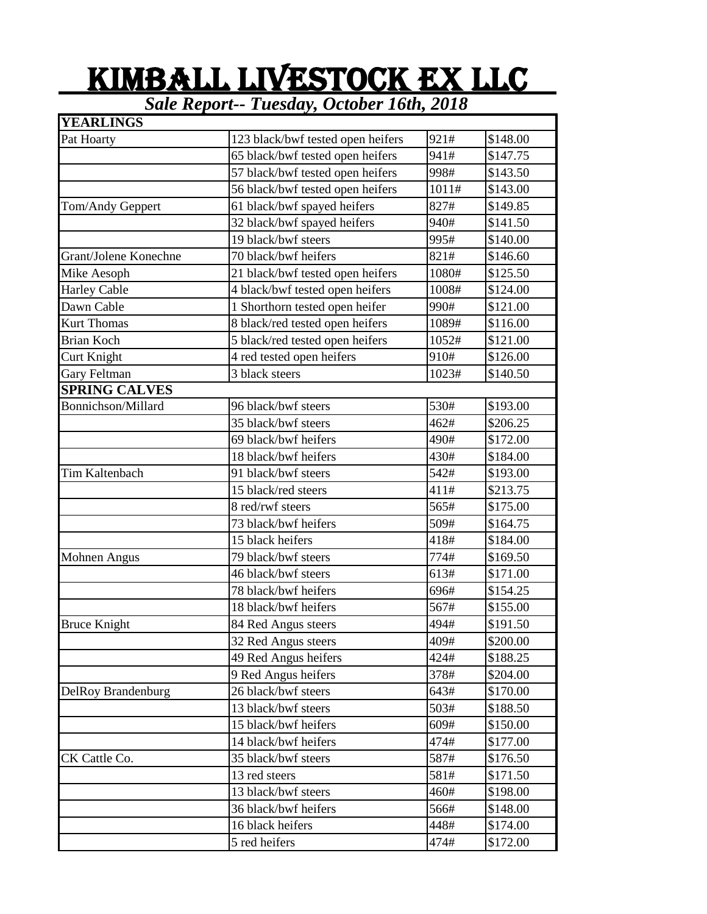## KIMBALL LIVESTOCK EX LLC

*Sale Report-- Tuesday, October 16th, 2018*

| <b>YEARLINGS</b>      |                                   |       |          |
|-----------------------|-----------------------------------|-------|----------|
| Pat Hoarty            | 123 black/bwf tested open heifers | 921#  | \$148.00 |
|                       | 65 black/bwf tested open heifers  | 941#  | \$147.75 |
|                       | 57 black/bwf tested open heifers  | 998#  | \$143.50 |
|                       | 56 black/bwf tested open heifers  | 1011# | \$143.00 |
| Tom/Andy Geppert      | 61 black/bwf spayed heifers       | 827#  | \$149.85 |
|                       | 32 black/bwf spayed heifers       | 940#  | \$141.50 |
|                       | 19 black/bwf steers               | 995#  | \$140.00 |
| Grant/Jolene Konechne | 70 black/bwf heifers              | 821#  | \$146.60 |
| Mike Aesoph           | 21 black/bwf tested open heifers  | 1080# | \$125.50 |
| <b>Harley Cable</b>   | 4 black/bwf tested open heifers   | 1008# | \$124.00 |
| Dawn Cable            | 1 Shorthorn tested open heifer    | 990#  | \$121.00 |
| <b>Kurt Thomas</b>    | 8 black/red tested open heifers   | 1089# | \$116.00 |
| <b>Brian Koch</b>     | 5 black/red tested open heifers   | 1052# | \$121.00 |
| Curt Knight           | 4 red tested open heifers         | 910#  | \$126.00 |
| Gary Feltman          | 3 black steers                    | 1023# | \$140.50 |
| <b>SPRING CALVES</b>  |                                   |       |          |
| Bonnichson/Millard    | 96 black/bwf steers               | 530#  | \$193.00 |
|                       | 35 black/bwf steers               | 462#  | \$206.25 |
|                       | 69 black/bwf heifers              | 490#  | \$172.00 |
|                       | 18 black/bwf heifers              | 430#  | \$184.00 |
| Tim Kaltenbach        | 91 black/bwf steers               | 542#  | \$193.00 |
|                       | 15 black/red steers               | 411#  | \$213.75 |
|                       | 8 red/rwf steers                  | 565#  | \$175.00 |
|                       | 73 black/bwf heifers              | 509#  | \$164.75 |
|                       | 15 black heifers                  | 418#  | \$184.00 |
| Mohnen Angus          | 79 black/bwf steers               | 774#  | \$169.50 |
|                       | 46 black/bwf steers               | 613#  | \$171.00 |
|                       | 78 black/bwf heifers              | 696#  | \$154.25 |
|                       | 18 black/bwf heifers              | 567#  | \$155.00 |
| <b>Bruce Knight</b>   | 84 Red Angus steers               | 494#  | \$191.50 |
|                       | 32 Red Angus steers               | 409#  | \$200.00 |
|                       | 49 Red Angus heifers              | 424#  | \$188.25 |
|                       | 9 Red Angus heifers               | 378#  | \$204.00 |
| DelRoy Brandenburg    | 26 black/bwf steers               | 643#  | \$170.00 |
|                       | 13 black/bwf steers               | 503#  | \$188.50 |
|                       | 15 black/bwf heifers              | 609#  | \$150.00 |
|                       | 14 black/bwf heifers              | 474#  | \$177.00 |
| CK Cattle Co.         | 35 black/bwf steers               | 587#  | \$176.50 |
|                       | 13 red steers                     | 581#  | \$171.50 |
|                       | 13 black/bwf steers               | 460#  | \$198.00 |
|                       | 36 black/bwf heifers              | 566#  | \$148.00 |
|                       | 16 black heifers                  | 448#  | \$174.00 |
|                       | 5 red heifers                     | 474#  | \$172.00 |